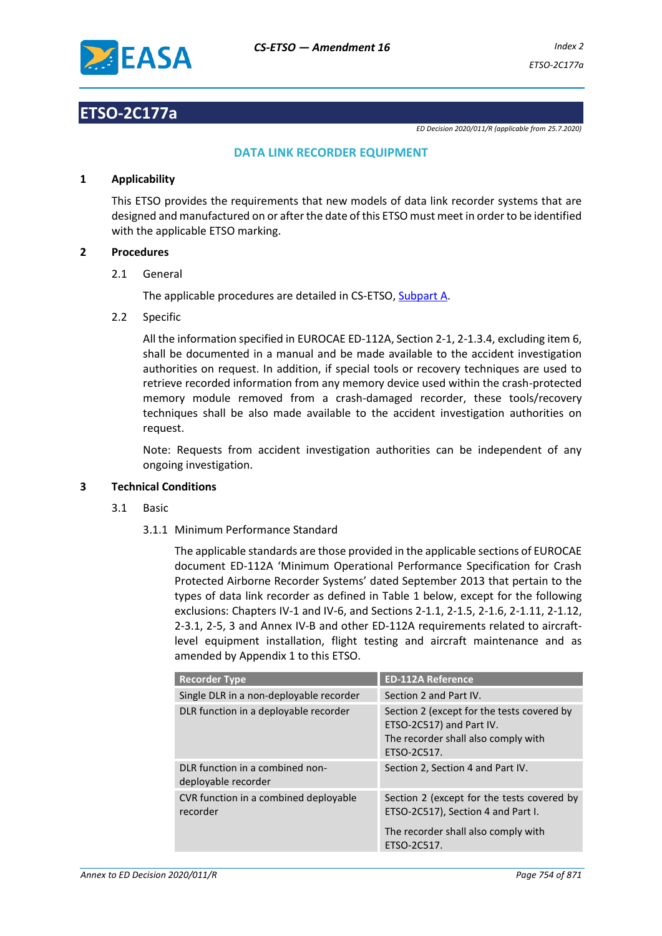

## **ETSO-2C177a**

*ED Decision 2020/011/R (applicable from 25.7.2020)*

## **DATA LINK RECORDER EQUIPMENT**

## **1 Applicability**

This ETSO provides the requirements that new models of data link recorder systems that are designed and manufactured on or after the date of this ETSO must meet in order to be identified with the applicable ETSO marking.

## **2 Procedures**

2.1 General

The applicable procedures are detailed in CS-ETSO, Subpart A.

2.2 Specific

All the information specified in EUROCAE ED-112A, Section 2-1, 2-1.3.4, excluding item 6, shall be documented in a manual and be made available to the accident investigation authorities on request. In addition, if special tools or recovery techniques are used to retrieve recorded information from any memory device used within the crash-protected memory module removed from a crash-damaged recorder, these tools/recovery techniques shall be also made available to the accident investigation authorities on request.

Note: Requests from accident investigation authorities can be independent of any ongoing investigation.

## **3 Technical Conditions**

- 3.1 Basic
	- 3.1.1 Minimum Performance Standard

The applicable standards are those provided in the applicable sections of EUROCAE document ED-112A 'Minimum Operational Performance Specification for Crash Protected Airborne Recorder Systems' dated September 2013 that pertain to the types of data link recorder as defined in Table 1 below, except for the following exclusions: Chapters IV-1 and IV-6, and Sections 2-1.1, 2-1.5, 2-1.6, 2-1.11, 2-1.12, 2-3.1, 2-5, 3 and Annex IV-B and other ED-112A requirements related to aircraftlevel equipment installation, flight testing and aircraft maintenance and as amended by Appendix 1 to this ETSO.

| <b>Recorder Type</b>                                   | <b>ED-112A Reference</b>                                                                                                     |
|--------------------------------------------------------|------------------------------------------------------------------------------------------------------------------------------|
| Single DLR in a non-deployable recorder                | Section 2 and Part IV.                                                                                                       |
| DLR function in a deployable recorder                  | Section 2 (except for the tests covered by<br>ETSO-2C517) and Part IV.<br>The recorder shall also comply with<br>ETSO-2C517. |
| DLR function in a combined non-<br>deployable recorder | Section 2, Section 4 and Part IV.                                                                                            |
| CVR function in a combined deployable<br>recorder      | Section 2 (except for the tests covered by<br>ETSO-2C517), Section 4 and Part I.                                             |
|                                                        | The recorder shall also comply with<br>ETSO-2C517.                                                                           |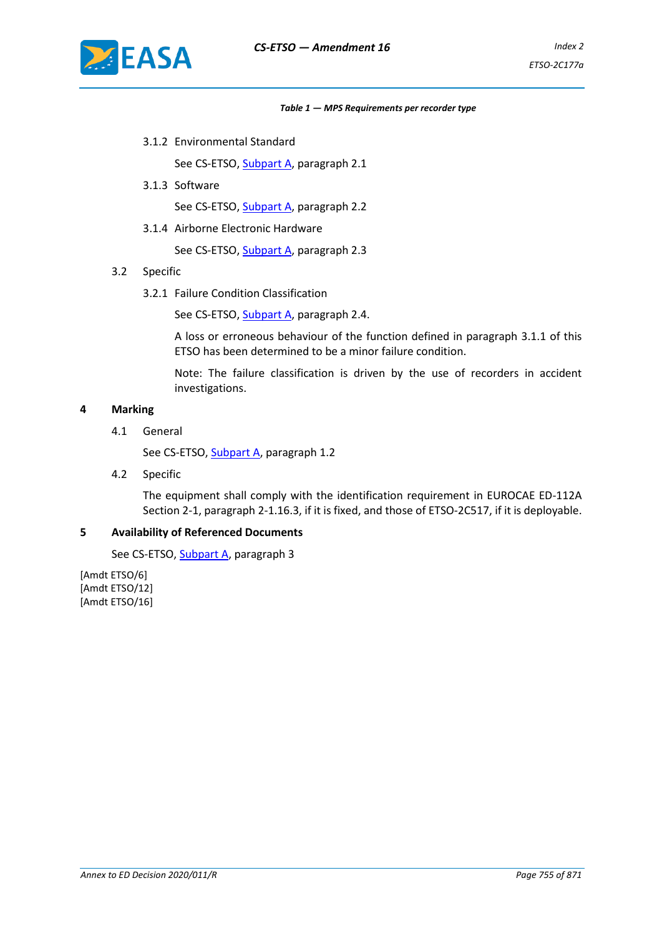

#### *Table 1 — MPS Requirements per recorder type*

3.1.2 Environmental Standard

See CS-ETSO, Subpart A, paragraph 2.1

3.1.3 Software

See CS-ETSO, Subpart A, paragraph 2.2

3.1.4 Airborne Electronic Hardware

See CS-ETSO, Subpart A, paragraph 2.3

- 3.2 Specific
	- 3.2.1 Failure Condition Classification

See CS-ETSO, Subpart A, paragraph 2.4.

A loss or erroneous behaviour of the function defined in paragraph 3.1.1 of this ETSO has been determined to be a minor failure condition.

Note: The failure classification is driven by the use of recorders in accident investigations.

## **4 Marking**

4.1 General

See CS-ETSO, Subpart A, paragraph 1.2

4.2 Specific

The equipment shall comply with the identification requirement in EUROCAE ED-112A Section 2-1, paragraph 2-1.16.3, if it is fixed, and those of ETSO-2C517, if it is deployable.

## **5 Availability of Referenced Documents**

See CS-ETSO, Subpart A, paragraph 3

[Amdt ETSO/6] [Amdt ETSO/12] [Amdt ETSO/16]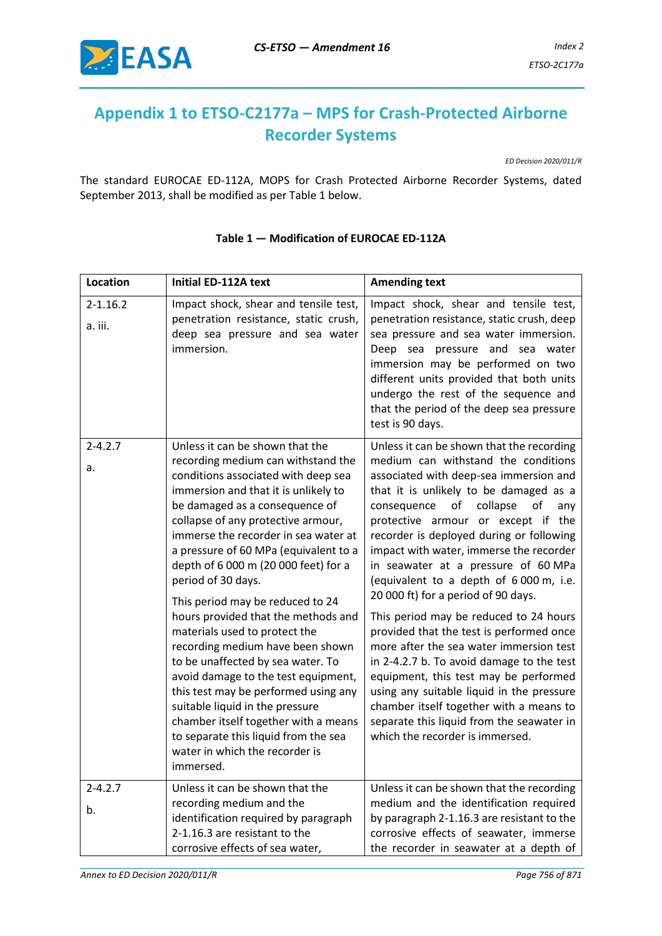

# **Appendix 1 to ETSO-C2177a – MPS for Crash-Protected Airborne Recorder Systems**

*ED Decision 2020/011/R*

The standard EUROCAE ED-112A, MOPS for Crash Protected Airborne Recorder Systems, dated September 2013, shall be modified as per Table 1 below.

| <b>Location</b>         | <b>Initial ED-112A text</b>                                                                                                                                                                                                                                                                                                                                                                                                                                                                                                                                                                                                                                                                                                                                                                                       | <b>Amending text</b>                                                                                                                                                                                                                                                                                                                                                                                                                                                                                                                                                                                                                                                                                                                                                                                                                                                    |
|-------------------------|-------------------------------------------------------------------------------------------------------------------------------------------------------------------------------------------------------------------------------------------------------------------------------------------------------------------------------------------------------------------------------------------------------------------------------------------------------------------------------------------------------------------------------------------------------------------------------------------------------------------------------------------------------------------------------------------------------------------------------------------------------------------------------------------------------------------|-------------------------------------------------------------------------------------------------------------------------------------------------------------------------------------------------------------------------------------------------------------------------------------------------------------------------------------------------------------------------------------------------------------------------------------------------------------------------------------------------------------------------------------------------------------------------------------------------------------------------------------------------------------------------------------------------------------------------------------------------------------------------------------------------------------------------------------------------------------------------|
| $2 - 1.16.2$<br>a. iii. | Impact shock, shear and tensile test,<br>penetration resistance, static crush,<br>deep sea pressure and sea water<br>immersion.                                                                                                                                                                                                                                                                                                                                                                                                                                                                                                                                                                                                                                                                                   | Impact shock, shear and tensile test,<br>penetration resistance, static crush, deep<br>sea pressure and sea water immersion.<br>Deep sea pressure and sea water<br>immersion may be performed on two<br>different units provided that both units<br>undergo the rest of the sequence and<br>that the period of the deep sea pressure<br>test is 90 days.                                                                                                                                                                                                                                                                                                                                                                                                                                                                                                                |
| $2 - 4.2.7$<br>a.       | Unless it can be shown that the<br>recording medium can withstand the<br>conditions associated with deep sea<br>immersion and that it is unlikely to<br>be damaged as a consequence of<br>collapse of any protective armour,<br>immerse the recorder in sea water at<br>a pressure of 60 MPa (equivalent to a<br>depth of 6 000 m (20 000 feet) for a<br>period of 30 days.<br>This period may be reduced to 24<br>hours provided that the methods and<br>materials used to protect the<br>recording medium have been shown<br>to be unaffected by sea water. To<br>avoid damage to the test equipment,<br>this test may be performed using any<br>suitable liquid in the pressure<br>chamber itself together with a means<br>to separate this liquid from the sea<br>water in which the recorder is<br>immersed. | Unless it can be shown that the recording<br>medium can withstand the conditions<br>associated with deep-sea immersion and<br>that it is unlikely to be damaged as a<br>of<br>collapse<br>consequence<br>of<br>any<br>protective armour or except if the<br>recorder is deployed during or following<br>impact with water, immerse the recorder<br>in seawater at a pressure of 60 MPa<br>(equivalent to a depth of 6 000 m, i.e.<br>20 000 ft) for a period of 90 days.<br>This period may be reduced to 24 hours<br>provided that the test is performed once<br>more after the sea water immersion test<br>in 2-4.2.7 b. To avoid damage to the test<br>equipment, this test may be performed<br>using any suitable liquid in the pressure<br>chamber itself together with a means to<br>separate this liquid from the seawater in<br>which the recorder is immersed. |
| $2 - 4.2.7$<br>b.       | Unless it can be shown that the<br>recording medium and the<br>identification required by paragraph<br>2-1.16.3 are resistant to the<br>corrosive effects of sea water,                                                                                                                                                                                                                                                                                                                                                                                                                                                                                                                                                                                                                                           | Unless it can be shown that the recording<br>medium and the identification required<br>by paragraph 2-1.16.3 are resistant to the<br>corrosive effects of seawater, immerse<br>the recorder in seawater at a depth of                                                                                                                                                                                                                                                                                                                                                                                                                                                                                                                                                                                                                                                   |

## **Table 1 — Modification of EUROCAE ED-112A**